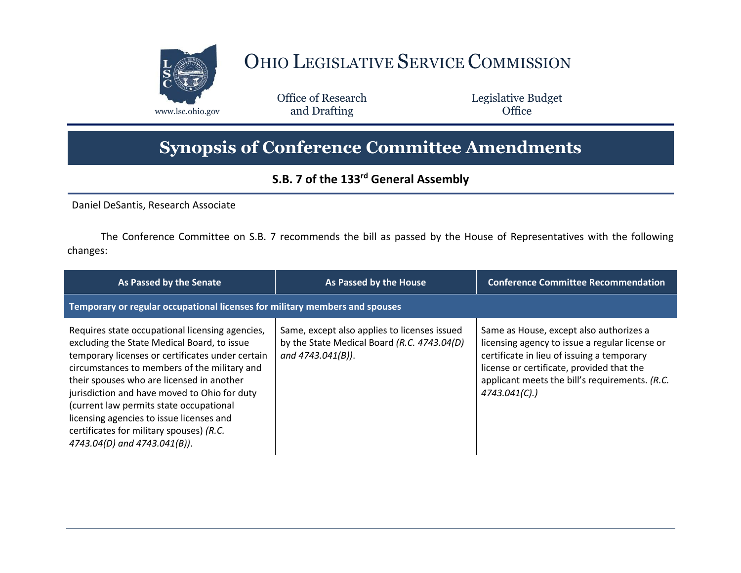

## OHIO LEGISLATIVE SERVICE COMMISSION

Office of Research www.lsc.ohio.gov **and Drafting Office** 

Legislative Budget

## **Synopsis of Conference Committee Amendments**

## **S.B. 7 of the 133rd General Assembly**

Daniel DeSantis, Research Associate

The Conference Committee on S.B. 7 recommends the bill as passed by the House of Representatives with the following changes:

| As Passed by the Senate                                                                                                                                                                                                                                                                                                                                                                                                                                            | As Passed by the House                                                                                           | <b>Conference Committee Recommendation</b>                                                                                                                                                                                                              |  |
|--------------------------------------------------------------------------------------------------------------------------------------------------------------------------------------------------------------------------------------------------------------------------------------------------------------------------------------------------------------------------------------------------------------------------------------------------------------------|------------------------------------------------------------------------------------------------------------------|---------------------------------------------------------------------------------------------------------------------------------------------------------------------------------------------------------------------------------------------------------|--|
| Temporary or regular occupational licenses for military members and spouses                                                                                                                                                                                                                                                                                                                                                                                        |                                                                                                                  |                                                                                                                                                                                                                                                         |  |
| Requires state occupational licensing agencies,<br>excluding the State Medical Board, to issue<br>temporary licenses or certificates under certain<br>circumstances to members of the military and<br>their spouses who are licensed in another<br>jurisdiction and have moved to Ohio for duty<br>(current law permits state occupational<br>licensing agencies to issue licenses and<br>certificates for military spouses) (R.C.<br>4743.04(D) and 4743.041(B)). | Same, except also applies to licenses issued<br>by the State Medical Board (R.C. 4743.04(D)<br>and 4743.041(B)). | Same as House, except also authorizes a<br>licensing agency to issue a regular license or<br>certificate in lieu of issuing a temporary<br>license or certificate, provided that the<br>applicant meets the bill's requirements. (R.C.<br>4743.041(C).) |  |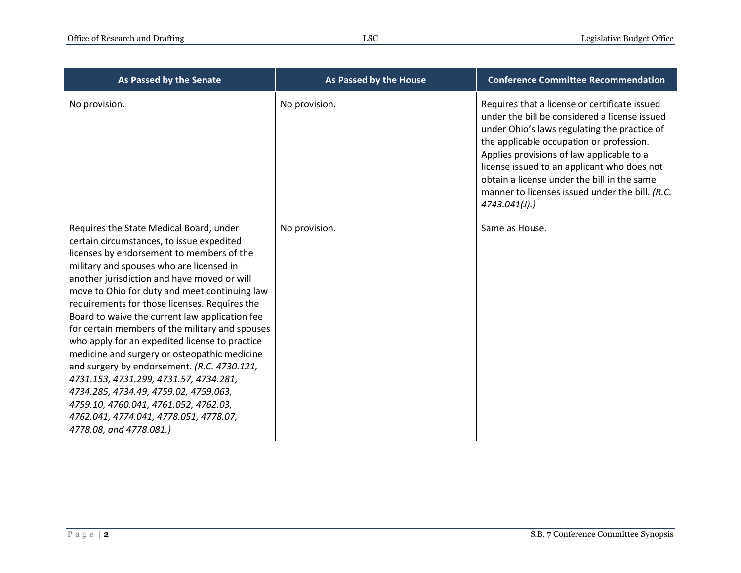| As Passed by the Senate                                                                                                                                                                                                                                                                                                                                                                                                                                                                                                                                                                                                                                                                                                                                                               | As Passed by the House | <b>Conference Committee Recommendation</b>                                                                                                                                                                                                                                                                                                                                                               |
|---------------------------------------------------------------------------------------------------------------------------------------------------------------------------------------------------------------------------------------------------------------------------------------------------------------------------------------------------------------------------------------------------------------------------------------------------------------------------------------------------------------------------------------------------------------------------------------------------------------------------------------------------------------------------------------------------------------------------------------------------------------------------------------|------------------------|----------------------------------------------------------------------------------------------------------------------------------------------------------------------------------------------------------------------------------------------------------------------------------------------------------------------------------------------------------------------------------------------------------|
| No provision.                                                                                                                                                                                                                                                                                                                                                                                                                                                                                                                                                                                                                                                                                                                                                                         | No provision.          | Requires that a license or certificate issued<br>under the bill be considered a license issued<br>under Ohio's laws regulating the practice of<br>the applicable occupation or profession.<br>Applies provisions of law applicable to a<br>license issued to an applicant who does not<br>obtain a license under the bill in the same<br>manner to licenses issued under the bill. (R.C.<br>4743.041(l). |
| Requires the State Medical Board, under<br>certain circumstances, to issue expedited<br>licenses by endorsement to members of the<br>military and spouses who are licensed in<br>another jurisdiction and have moved or will<br>move to Ohio for duty and meet continuing law<br>requirements for those licenses. Requires the<br>Board to waive the current law application fee<br>for certain members of the military and spouses<br>who apply for an expedited license to practice<br>medicine and surgery or osteopathic medicine<br>and surgery by endorsement. (R.C. 4730.121,<br>4731.153, 4731.299, 4731.57, 4734.281,<br>4734.285, 4734.49, 4759.02, 4759.063,<br>4759.10, 4760.041, 4761.052, 4762.03,<br>4762.041, 4774.041, 4778.051, 4778.07,<br>4778.08, and 4778.081.) | No provision.          | Same as House.                                                                                                                                                                                                                                                                                                                                                                                           |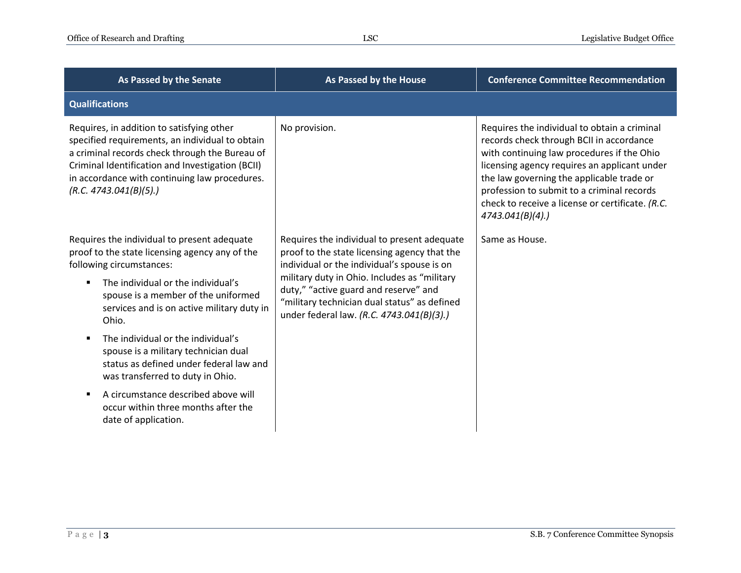| <b>As Passed by the Senate</b>                                                                                                                                                                                                                                                | <b>As Passed by the House</b>                                                                                                                                                      | <b>Conference Committee Recommendation</b>                                                                                                                                                                                                                                                                                                                   |
|-------------------------------------------------------------------------------------------------------------------------------------------------------------------------------------------------------------------------------------------------------------------------------|------------------------------------------------------------------------------------------------------------------------------------------------------------------------------------|--------------------------------------------------------------------------------------------------------------------------------------------------------------------------------------------------------------------------------------------------------------------------------------------------------------------------------------------------------------|
| <b>Qualifications</b>                                                                                                                                                                                                                                                         |                                                                                                                                                                                    |                                                                                                                                                                                                                                                                                                                                                              |
| Requires, in addition to satisfying other<br>specified requirements, an individual to obtain<br>a criminal records check through the Bureau of<br>Criminal Identification and Investigation (BCII)<br>in accordance with continuing law procedures.<br>(R.C. 4743.041(B)(5).) | No provision.                                                                                                                                                                      | Requires the individual to obtain a criminal<br>records check through BCII in accordance<br>with continuing law procedures if the Ohio<br>licensing agency requires an applicant under<br>the law governing the applicable trade or<br>profession to submit to a criminal records<br>check to receive a license or certificate. (R.C.<br>$4743.041(B)(4)$ .) |
| Requires the individual to present adequate<br>proof to the state licensing agency any of the<br>following circumstances:                                                                                                                                                     | Requires the individual to present adequate<br>proof to the state licensing agency that the<br>individual or the individual's spouse is on                                         | Same as House.                                                                                                                                                                                                                                                                                                                                               |
| The individual or the individual's<br>spouse is a member of the uniformed<br>services and is on active military duty in<br>Ohio.                                                                                                                                              | military duty in Ohio. Includes as "military<br>duty," "active guard and reserve" and<br>"military technician dual status" as defined<br>under federal law. (R.C. 4743.041(B)(3).) |                                                                                                                                                                                                                                                                                                                                                              |
| The individual or the individual's<br>spouse is a military technician dual<br>status as defined under federal law and<br>was transferred to duty in Ohio.                                                                                                                     |                                                                                                                                                                                    |                                                                                                                                                                                                                                                                                                                                                              |
| A circumstance described above will<br>occur within three months after the<br>date of application.                                                                                                                                                                            |                                                                                                                                                                                    |                                                                                                                                                                                                                                                                                                                                                              |
|                                                                                                                                                                                                                                                                               |                                                                                                                                                                                    |                                                                                                                                                                                                                                                                                                                                                              |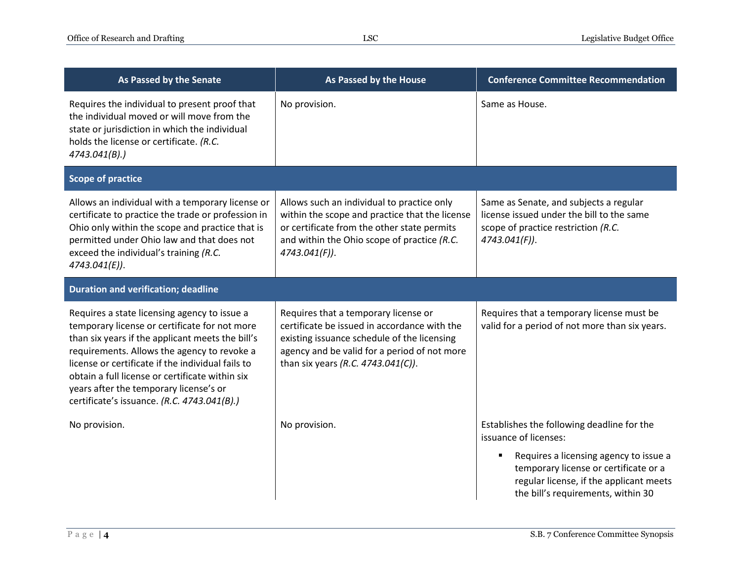| As Passed by the Senate                                                                                                                                                                                                                                                                                                                                                                           | As Passed by the House                                                                                                                                                                                                    | <b>Conference Committee Recommendation</b>                                                                                                                       |
|---------------------------------------------------------------------------------------------------------------------------------------------------------------------------------------------------------------------------------------------------------------------------------------------------------------------------------------------------------------------------------------------------|---------------------------------------------------------------------------------------------------------------------------------------------------------------------------------------------------------------------------|------------------------------------------------------------------------------------------------------------------------------------------------------------------|
| Requires the individual to present proof that<br>the individual moved or will move from the<br>state or jurisdiction in which the individual<br>holds the license or certificate. (R.C.<br>4743.041(B).                                                                                                                                                                                           | No provision.                                                                                                                                                                                                             | Same as House.                                                                                                                                                   |
| <b>Scope of practice</b>                                                                                                                                                                                                                                                                                                                                                                          |                                                                                                                                                                                                                           |                                                                                                                                                                  |
| Allows an individual with a temporary license or<br>certificate to practice the trade or profession in<br>Ohio only within the scope and practice that is<br>permitted under Ohio law and that does not<br>exceed the individual's training (R.C.<br>4743.041(E)).                                                                                                                                | Allows such an individual to practice only<br>within the scope and practice that the license<br>or certificate from the other state permits<br>and within the Ohio scope of practice (R.C.<br>4743.041(F)).               | Same as Senate, and subjects a regular<br>license issued under the bill to the same<br>scope of practice restriction (R.C.<br>4743.041(F)).                      |
| <b>Duration and verification; deadline</b>                                                                                                                                                                                                                                                                                                                                                        |                                                                                                                                                                                                                           |                                                                                                                                                                  |
| Requires a state licensing agency to issue a<br>temporary license or certificate for not more<br>than six years if the applicant meets the bill's<br>requirements. Allows the agency to revoke a<br>license or certificate if the individual fails to<br>obtain a full license or certificate within six<br>years after the temporary license's or<br>certificate's issuance. (R.C. 4743.041(B).) | Requires that a temporary license or<br>certificate be issued in accordance with the<br>existing issuance schedule of the licensing<br>agency and be valid for a period of not more<br>than six years (R.C. 4743.041(C)). | Requires that a temporary license must be<br>valid for a period of not more than six years.                                                                      |
| No provision.                                                                                                                                                                                                                                                                                                                                                                                     | No provision.                                                                                                                                                                                                             | Establishes the following deadline for the<br>issuance of licenses:                                                                                              |
|                                                                                                                                                                                                                                                                                                                                                                                                   |                                                                                                                                                                                                                           | Requires a licensing agency to issue a<br>temporary license or certificate or a<br>regular license, if the applicant meets<br>the bill's requirements, within 30 |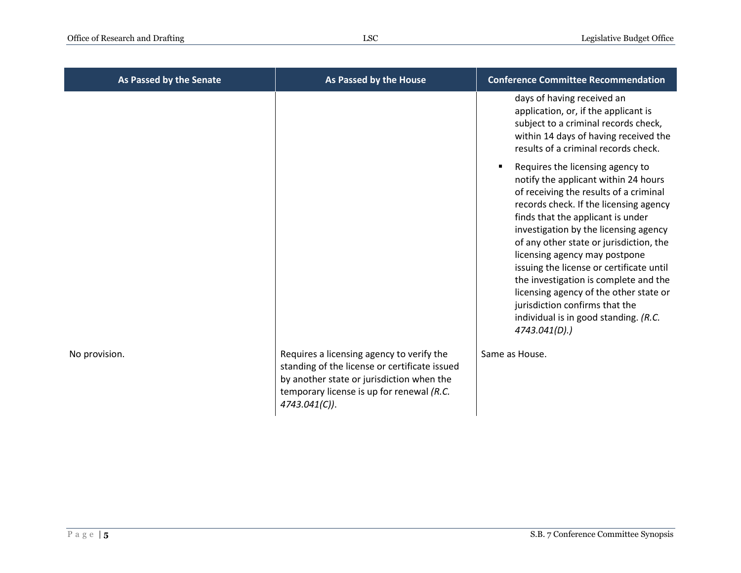| As Passed by the Senate | As Passed by the House                                                                                                                                                                                | <b>Conference Committee Recommendation</b>                                                                                                                                                                                                                                                                                                                                                                                                                                                                                                                          |
|-------------------------|-------------------------------------------------------------------------------------------------------------------------------------------------------------------------------------------------------|---------------------------------------------------------------------------------------------------------------------------------------------------------------------------------------------------------------------------------------------------------------------------------------------------------------------------------------------------------------------------------------------------------------------------------------------------------------------------------------------------------------------------------------------------------------------|
|                         |                                                                                                                                                                                                       | days of having received an<br>application, or, if the applicant is<br>subject to a criminal records check,<br>within 14 days of having received the<br>results of a criminal records check.                                                                                                                                                                                                                                                                                                                                                                         |
|                         |                                                                                                                                                                                                       | Requires the licensing agency to<br>$\blacksquare$<br>notify the applicant within 24 hours<br>of receiving the results of a criminal<br>records check. If the licensing agency<br>finds that the applicant is under<br>investigation by the licensing agency<br>of any other state or jurisdiction, the<br>licensing agency may postpone<br>issuing the license or certificate until<br>the investigation is complete and the<br>licensing agency of the other state or<br>jurisdiction confirms that the<br>individual is in good standing. (R.C.<br>4743.041(D).) |
| No provision.           | Requires a licensing agency to verify the<br>standing of the license or certificate issued<br>by another state or jurisdiction when the<br>temporary license is up for renewal (R.C.<br>4743.041(C)). | Same as House.                                                                                                                                                                                                                                                                                                                                                                                                                                                                                                                                                      |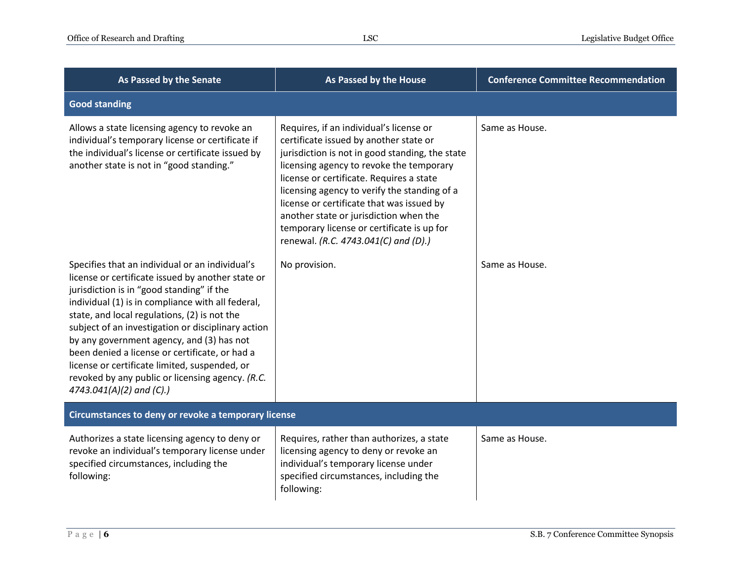| As Passed by the Senate                                                                                                                                                                                                                                                                                                                                                                                                                                                                                                                      | As Passed by the House                                                                                                                                                                                                                                                                                                                                                                                                                                    | <b>Conference Committee Recommendation</b> |
|----------------------------------------------------------------------------------------------------------------------------------------------------------------------------------------------------------------------------------------------------------------------------------------------------------------------------------------------------------------------------------------------------------------------------------------------------------------------------------------------------------------------------------------------|-----------------------------------------------------------------------------------------------------------------------------------------------------------------------------------------------------------------------------------------------------------------------------------------------------------------------------------------------------------------------------------------------------------------------------------------------------------|--------------------------------------------|
| <b>Good standing</b>                                                                                                                                                                                                                                                                                                                                                                                                                                                                                                                         |                                                                                                                                                                                                                                                                                                                                                                                                                                                           |                                            |
| Allows a state licensing agency to revoke an<br>individual's temporary license or certificate if<br>the individual's license or certificate issued by<br>another state is not in "good standing."                                                                                                                                                                                                                                                                                                                                            | Requires, if an individual's license or<br>certificate issued by another state or<br>jurisdiction is not in good standing, the state<br>licensing agency to revoke the temporary<br>license or certificate. Requires a state<br>licensing agency to verify the standing of a<br>license or certificate that was issued by<br>another state or jurisdiction when the<br>temporary license or certificate is up for<br>renewal. (R.C. 4743.041(C) and (D).) | Same as House.                             |
| Specifies that an individual or an individual's<br>license or certificate issued by another state or<br>jurisdiction is in "good standing" if the<br>individual (1) is in compliance with all federal,<br>state, and local regulations, (2) is not the<br>subject of an investigation or disciplinary action<br>by any government agency, and (3) has not<br>been denied a license or certificate, or had a<br>license or certificate limited, suspended, or<br>revoked by any public or licensing agency. (R.C.<br>4743.041(A)(2) and (C).) | No provision.                                                                                                                                                                                                                                                                                                                                                                                                                                             | Same as House.                             |
| Circumstances to deny or revoke a temporary license                                                                                                                                                                                                                                                                                                                                                                                                                                                                                          |                                                                                                                                                                                                                                                                                                                                                                                                                                                           |                                            |
| Authorizes a state licensing agency to deny or<br>revoke an individual's temporary license under<br>specified circumstances, including the<br>following:                                                                                                                                                                                                                                                                                                                                                                                     | Requires, rather than authorizes, a state<br>licensing agency to deny or revoke an<br>individual's temporary license under<br>specified circumstances, including the<br>following:                                                                                                                                                                                                                                                                        | Same as House.                             |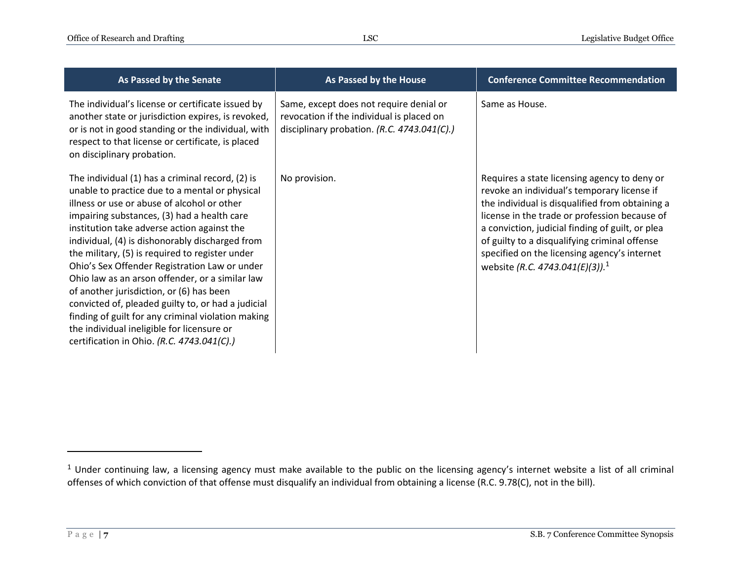| As Passed by the Senate                                                                                                                                                                                                                                                                                                                                                                                                                                                                                                                                                                                                                                                                                       | As Passed by the House                                                                                                              | <b>Conference Committee Recommendation</b>                                                                                                                                                                                                                                                                                                                                                                           |
|---------------------------------------------------------------------------------------------------------------------------------------------------------------------------------------------------------------------------------------------------------------------------------------------------------------------------------------------------------------------------------------------------------------------------------------------------------------------------------------------------------------------------------------------------------------------------------------------------------------------------------------------------------------------------------------------------------------|-------------------------------------------------------------------------------------------------------------------------------------|----------------------------------------------------------------------------------------------------------------------------------------------------------------------------------------------------------------------------------------------------------------------------------------------------------------------------------------------------------------------------------------------------------------------|
| The individual's license or certificate issued by<br>another state or jurisdiction expires, is revoked,<br>or is not in good standing or the individual, with<br>respect to that license or certificate, is placed<br>on disciplinary probation.                                                                                                                                                                                                                                                                                                                                                                                                                                                              | Same, except does not require denial or<br>revocation if the individual is placed on<br>disciplinary probation. (R.C. 4743.041(C).) | Same as House.                                                                                                                                                                                                                                                                                                                                                                                                       |
| The individual (1) has a criminal record, (2) is<br>unable to practice due to a mental or physical<br>illness or use or abuse of alcohol or other<br>impairing substances, (3) had a health care<br>institution take adverse action against the<br>individual, (4) is dishonorably discharged from<br>the military, (5) is required to register under<br>Ohio's Sex Offender Registration Law or under<br>Ohio law as an arson offender, or a similar law<br>of another jurisdiction, or (6) has been<br>convicted of, pleaded guilty to, or had a judicial<br>finding of guilt for any criminal violation making<br>the individual ineligible for licensure or<br>certification in Ohio. (R.C. 4743.041(C).) | No provision.                                                                                                                       | Requires a state licensing agency to deny or<br>revoke an individual's temporary license if<br>the individual is disqualified from obtaining a<br>license in the trade or profession because of<br>a conviction, judicial finding of guilt, or plea<br>of guilty to a disqualifying criminal offense<br>specified on the licensing agency's internet<br>website ( <i>R.C.</i> 4743.041( <i>E</i> )(3)). <sup>1</sup> |

 $\overline{a}$ 

 $1$  Under continuing law, a licensing agency must make available to the public on the licensing agency's internet website a list of all criminal offenses of which conviction of that offense must disqualify an individual from obtaining a license (R.C. 9.78(C), not in the bill).